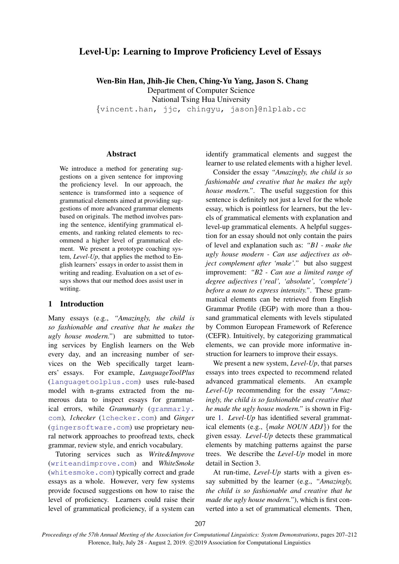# Level-Up: Learning to Improve Proficiency Level of Essays

Wen-Bin Han, Jhih-Jie Chen, Ching-Yu Yang, Jason S. Chang Department of Computer Science National Tsing Hua University {vincent.han, jjc, chingyu, jason}@nlplab.cc

### Abstract

We introduce a method for generating suggestions on a given sentence for improving the proficiency level. In our approach, the sentence is transformed into a sequence of grammatical elements aimed at providing suggestions of more advanced grammar elements based on originals. The method involves parsing the sentence, identifying grammatical elements, and ranking related elements to recommend a higher level of grammatical element. We present a prototype coaching system, *Level-Up*, that applies the method to English learners' essays in order to assist them in writing and reading. Evaluation on a set of essays shows that our method does assist user in writing.

### 1 Introduction

Many essays (e.g., *"Amazingly, the child is so fashionable and creative that he makes the ugly house modern."*) are submitted to tutoring services by English learners on the Web every day, and an increasing number of services on the Web specifically target learners' essays. For example, *LanguageToolPlus* (<languagetoolplus.com>) uses rule-based model with n-grams extracted from the numerous data to inspect essays for grammatical errors, while *Grammarly* ([grammarly.](grammarly.com) [com](grammarly.com)), *1checker* (<1checker.com>) and *Ginger* (<gingersoftware.com>) use proprietary neural network approaches to proofread texts, check grammar, review style, and enrich vocabulary.

Tutoring services such as *Write&Improve* (<writeandimprove.com>) and *WhiteSmoke* (<whitesmoke.com>) typically correct and grade essays as a whole. However, very few systems provide focused suggestions on how to raise the level of proficiency. Learners could raise their level of grammatical proficiency, if a system can

identify grammatical elements and suggest the learner to use related elements with a higher level.

Consider the essay *"Amazingly, the child is so fashionable and creative that he makes the ugly house modern."*. The useful suggestion for this sentence is definitely not just a level for the whole essay, which is pointless for learners, but the levels of grammatical elements with explanation and level-up grammatical elements. A helpful suggestion for an essay should not only contain the pairs of level and explanation such as: *"B1 - make the ugly house modern - Can use adjectives as object complement after 'make'."* but also suggest improvement: *"B2 - Can use a limited range of degree adjectives ('real', 'absolute', 'complete') before a noun to express intensity."*. These grammatical elements can be retrieved from English Grammar Profile (EGP) with more than a thousand grammatical elements with levels stipulated by Common European Framework of Reference (CEFR). Intuitively, by categorizing grammatical elements, we can provide more informative instruction for learners to improve their essays.

We present a new system, *Level-Up*, that parses essays into trees expected to recommend related advanced grammatical elements. An example *Level-Up* recommending for the essay *"Amazingly, the child is so fashionable and creative that he made the ugly house modern."* is shown in Figure [1.](#page-1-0) *Level-Up* has identified several grammatical elements (e.g., {*make NOUN ADJ*}) for the given essay. *Level-Up* detects these grammatical elements by matching patterns against the parse trees. We describe the *Level-Up* model in more detail in Section 3.

At run-time, *Level-Up* starts with a given essay submitted by the learner (e.g., *"Amazingly, the child is so fashionable and creative that he made the ugly house modern."*), which is first converted into a set of grammatical elements. Then,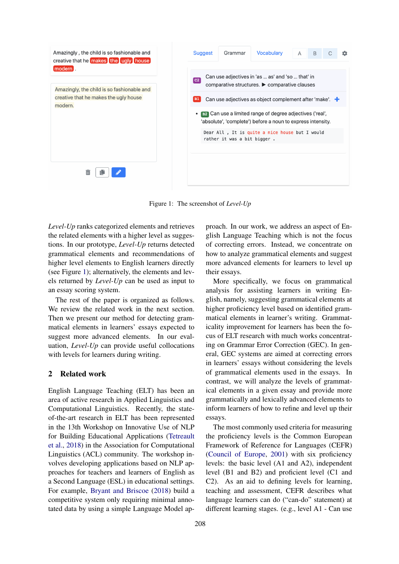<span id="page-1-0"></span>

Figure 1: The screenshot of *Level-Up*

*Level-Up* ranks categorized elements and retrieves the related elements with a higher level as suggestions. In our prototype, *Level-Up* returns detected grammatical elements and recommendations of higher level elements to English learners directly (see Figure [1\)](#page-1-0); alternatively, the elements and levels returned by *Level-Up* can be used as input to an essay scoring system.

The rest of the paper is organized as follows. We review the related work in the next section. Then we present our method for detecting grammatical elements in learners' essays expected to suggest more advanced elements. In our evaluation, *Level-Up* can provide useful collocations with levels for learners during writing.

## 2 Related work

English Language Teaching (ELT) has been an area of active research in Applied Linguistics and Computational Linguistics. Recently, the stateof-the-art research in ELT has been represented in the 13th Workshop on Innovative Use of NLP for Building Educational Applications [\(Tetreault](#page-5-0) [et al.,](#page-5-0) [2018\)](#page-5-0) in the Association for Computational Linguistics (ACL) community. The workshop involves developing applications based on NLP approaches for teachers and learners of English as a Second Language (ESL) in educational settings. For example, [Bryant and Briscoe](#page-5-1) [\(2018\)](#page-5-1) build a competitive system only requiring minimal annotated data by using a simple Language Model approach. In our work, we address an aspect of English Language Teaching which is not the focus of correcting errors. Instead, we concentrate on how to analyze grammatical elements and suggest more advanced elements for learners to level up their essays.

More specifically, we focus on grammatical analysis for assisting learners in writing English, namely, suggesting grammatical elements at higher proficiency level based on identified grammatical elements in learner's writing. Grammaticality improvement for learners has been the focus of ELT research with much works concentrating on Grammar Error Correction (GEC). In general, GEC systems are aimed at correcting errors in learners' essays without considering the levels of grammatical elements used in the essays. In contrast, we will analyze the levels of grammatical elements in a given essay and provide more grammatically and lexically advanced elements to inform learners of how to refine and level up their essays.

The most commonly used criteria for measuring the proficiency levels is the Common European Framework of Reference for Languages (CEFR) [\(Council of Europe,](#page-5-2) [2001\)](#page-5-2) with six proficiency levels: the basic level (A1 and A2), independent level (B1 and B2) and proficient level (C1 and C2). As an aid to defining levels for learning, teaching and assessment, CEFR describes what language learners can do ("can-do" statement) at different learning stages. (e.g., level A1 - Can use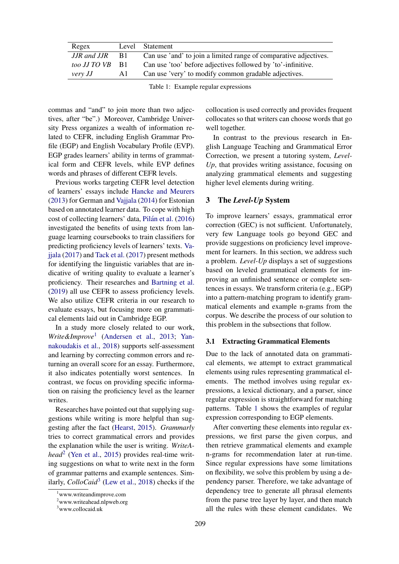<span id="page-2-3"></span>

| Regex           |      | Level Statement                                                  |
|-----------------|------|------------------------------------------------------------------|
| JJR and JJR     | - B1 | Can use 'and' to join a limited range of comparative adjectives. |
| too JJ TO VB B1 |      | Can use 'too' before adjectives followed by 'to'-infinitive.     |
| very JJ         | AL   | Can use 'very' to modify common gradable adjectives.             |

Table 1: Example regular expressions

commas and "and" to join more than two adjectives, after "be".) Moreover, Cambridge University Press organizes a wealth of information related to CEFR, including English Grammar Profile (EGP) and English Vocabulary Profile (EVP). EGP grades learners' ability in terms of grammatical form and CEFR levels, while EVP defines words and phrases of different CEFR levels.

Previous works targeting CEFR level detection of learners' essays include [Hancke and Meurers](#page-5-3) [\(2013\)](#page-5-3) for German and [Vajjala](#page-5-4) [\(2014\)](#page-5-4) for Estonian based on annotated learner data. To cope with high cost of collecting learners' data, Pilán et al. [\(2016\)](#page-5-5) investigated the benefits of using texts from language learning coursebooks to train classifiers for predicting proficiency levels of learners' texts. [Va](#page-5-6)[jjala](#page-5-6) [\(2017\)](#page-5-6) and [Tack et al.](#page-5-7) [\(2017\)](#page-5-7) present methods for identifying the linguistic variables that are indicative of writing quality to evaluate a learner's proficiency. Their researches and [Bartning et al.](#page-5-8) [\(2019\)](#page-5-8) all use CEFR to assess proficiency levels. We also utilize CEFR criteria in our research to evaluate essays, but focusing more on grammatical elements laid out in Cambridge EGP.

In a study more closely related to our work, *Write&Improve*[1](#page-2-0) [\(Andersen et al.,](#page-5-9) [2013;](#page-5-9) [Yan](#page-5-10)[nakoudakis et al.,](#page-5-10) [2018\)](#page-5-10) supports self-assessment and learning by correcting common errors and returning an overall score for an essay. Furthermore, it also indicates potentially worst sentences. In contrast, we focus on providing specific information on raising the proficiency level as the learner writes.

Researches have pointed out that supplying suggestions while writing is more helpful than suggesting after the fact [\(Hearst,](#page-5-11) [2015\)](#page-5-11). *Grammarly* tries to correct grammatical errors and provides the explanation while the user is writing. *WriteAhead*[2](#page-2-1) [\(Yen et al.,](#page-5-12) [2015\)](#page-5-12) provides real-time writing suggestions on what to write next in the form of grammar patterns and example sentences. Similarly, *ColloCaid*[3](#page-2-2) [\(Lew et al.,](#page-5-13) [2018\)](#page-5-13) checks if the

collocation is used correctly and provides frequent collocates so that writers can choose words that go well together.

In contrast to the previous research in English Language Teaching and Grammatical Error Correction, we present a tutoring system, *Level-Up*, that provides writing assistance, focusing on analyzing grammatical elements and suggesting higher level elements during writing.

#### <span id="page-2-5"></span>3 The *Level-Up* System

To improve learners' essays, grammatical error correction (GEC) is not sufficient. Unfortunately, very few Language tools go beyond GEC and provide suggestions on proficiency level improvement for learners. In this section, we address such a problem. *Level-Up* displays a set of suggestions based on leveled grammatical elements for improving an unfinished sentence or complete sentences in essays. We transform criteria (e.g., EGP) into a pattern-matching program to identify grammatical elements and example n-grams from the corpus. We describe the process of our solution to this problem in the subsections that follow.

#### <span id="page-2-4"></span>3.1 Extracting Grammatical Elements

Due to the lack of annotated data on grammatical elements, we attempt to extract grammatical elements using rules representing grammatical elements. The method involves using regular expressions, a lexical dictionary, and a parser, since regular expression is straightforward for matching patterns. Table [1](#page-2-3) shows the examples of regular expression corresponding to EGP elements.

After converting these elements into regular expressions, we first parse the given corpus, and then retrieve grammatical elements and example n-grams for recommendation later at run-time. Since regular expressions have some limitations on flexibility, we solve this problem by using a dependency parser. Therefore, we take advantage of dependency tree to generate all phrasal elements from the parse tree layer by layer, and then match all the rules with these element candidates. We

<span id="page-2-0"></span><sup>1</sup>www.writeandimprove.com

<span id="page-2-1"></span><sup>2</sup>www.writeahead.nlpweb.org

<span id="page-2-2"></span><sup>3</sup>www.collocaid.uk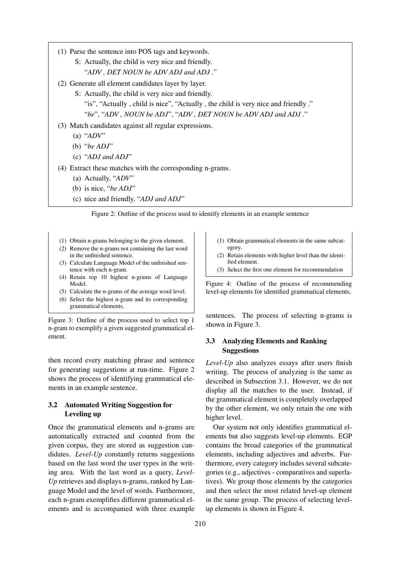- <span id="page-3-0"></span>(1) Parse the sentence into POS tags and keywords.
	- S: Actually, the child is very nice and friendly. "*ADV , DET NOUN be ADV ADJ and ADJ .*"
- (2) Generate all element candidates layer by layer.
	- S: Actually, the child is very nice and friendly. "is", "Actually , child is nice", "Actually , the child is very nice and friendly ." "*be*", "*ADV , NOUN be ADJ*", "*ADV , DET NOUN be ADV ADJ and ADJ .*"
- (3) Match candidates against all regular expressions.
	- (a) "*ADV*"
	- (b) "*be ADJ*"
	- (c) "*ADJ and ADJ*"
- (4) Extract these matches with the corresponding n-grams.
	- (a) Actually, "*ADV*"
	- (b) is nice, "*be ADJ*"
	- (c) nice and friendly, "*ADJ and ADJ*"

Figure 2: Outline of the process used to identify elements in an example sentence

- <span id="page-3-1"></span>(1) Obtain n-grams belonging to the given element.
- (2) Remove the n-grams not containing the last word in the unfinished sentence.
- (3) Calculate Language Model of the unfinished sentence with each n-gram.
- (4) Retain top 10 highest n-grams of Language Model.
- (5) Calculate the n-grams of the average word level. (6) Select the highest n-gram and its corresponding grammatical elements.

Figure 3: Outline of the process used to select top 1 n-gram to exemplify a given suggested grammatical element.

then record every matching phrase and sentence for generating suggestions at run-time. Figure [2](#page-3-0) shows the process of identifying grammatical elements in an example sentence.

## 3.2 Automated Writing Suggestion for Leveling up

Once the grammatical elements and n-grams are automatically extracted and counted from the given corpus, they are stored as suggestion candidates. *Level-Up* constantly returns suggestions based on the last word the user types in the writing area. With the last word as a query, *Level-Up* retrieves and displays n-grams, ranked by Language Model and the level of words. Furthermore, each n-gram exemplifies different grammatical elements and is accompanied with three example

- <span id="page-3-2"></span>(1) Obtain grammatical elements in the same subcategory.
- (2) Retain elements with higher level than the identified element.
- (3) Select the first one element for recommendation

Figure 4: Outline of the process of recommending level-up elements for identified grammatical elements.

sentences. The process of selecting n-grams is shown in Figure [3.](#page-3-1)

## 3.3 Analyzing Elements and Ranking **Suggestions**

*Level-Up* also analyzes essays after users finish writing. The process of analyzing is the same as described in Subsection [3.1.](#page-2-4) However, we do not display all the matches to the user. Instead, if the grammatical element is completely overlapped by the other element, we only retain the one with higher level.

Our system not only identifies grammatical elements but also suggests level-up elements. EGP contains the broad categories of the grammatical elements, including adjectives and adverbs. Furthermore, every category includes several subcategories (e.g., adjectives - comparatives and superlatives). We group those elements by the categories and then select the most related level-up element in the same group. The process of selecting levelup elements is shown in Figure [4.](#page-3-2)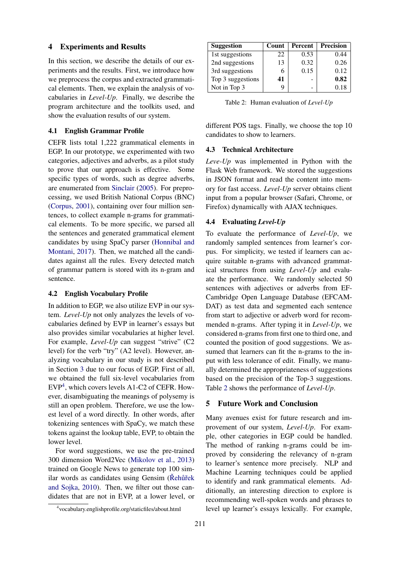### 4 Experiments and Results

In this section, we describe the details of our experiments and the results. First, we introduce how we preprocess the corpus and extracted grammatical elements. Then, we explain the analysis of vocabularies in *Level-Up*. Finally, we describe the program architecture and the toolkits used, and show the evaluation results of our system.

#### 4.1 English Grammar Profile

CEFR lists total 1,222 grammatical elements in EGP. In our prototype, we experimented with two categories, adjectives and adverbs, as a pilot study to prove that our approach is effective. Some specific types of words, such as degree adverbs, are enumerated from [Sinclair](#page-5-14) [\(2005\)](#page-5-14). For preprocessing, we used British National Corpus (BNC) [\(Corpus,](#page-5-15) [2001\)](#page-5-15), containing over four million sentences, to collect example n-grams for grammatical elements. To be more specific, we parsed all the sentences and generated grammatical element candidates by using SpaCy parser [\(Honnibal and](#page-5-16) [Montani,](#page-5-16) [2017\)](#page-5-16). Then, we matched all the candidates against all the rules. Every detected match of grammar pattern is stored with its n-gram and sentence.

### 4.2 English Vocabulary Profile

In addition to EGP, we also utilize EVP in our system. *Level-Up* not only analyzes the levels of vocabularies defined by EVP in learner's essays but also provides similar vocabularies at higher level. For example, *Level-Up* can suggest "strive" (C2 level) for the verb "try" (A2 level). However, analyzing vocabulary in our study is not described in Section [3](#page-2-5) due to our focus of EGP. First of all, we obtained the full six-level vocabularies from EVP[4](#page-4-0) , which covers levels A1-C2 of CEFR. However, disambiguating the meanings of polysemy is still an open problem. Therefore, we use the lowest level of a word directly. In other words, after tokenizing sentences with SpaCy, we match these tokens against the lookup table, EVP, to obtain the lower level.

For word suggestions, we use the pre-trained 300 dimension Word2Vec [\(Mikolov et al.,](#page-5-17) [2013\)](#page-5-17) trained on Google News to generate top 100 similar words as candidates using Gensim (Rehurtek [and Sojka,](#page-5-18) [2010\)](#page-5-18). Then, we filter out those candidates that are not in EVP, at a lower level, or

<span id="page-4-1"></span>

| <b>Suggestion</b> | Count | Percent | <b>Precision</b> |
|-------------------|-------|---------|------------------|
| 1st suggestions   | 22    | 0.53    | 0.44             |
| 2nd suggestions   | 13    | 0.32    | 0.26             |
| 3rd suggestions   | 6     | 0.15    | 0.12             |
| Top 3 suggestions | 41    |         | 0.82             |
| Not in Top 3      |       |         | 0.18             |

Table 2: Human evaluation of *Level-Up*

different POS tags. Finally, we choose the top 10 candidates to show to learners.

### 4.3 Technical Architecture

*Leve-Up* was implemented in Python with the Flask Web framework. We stored the suggestions in JSON format and read the content into memory for fast access. *Level-Up* server obtains client input from a popular browser (Safari, Chrome, or Firefox) dynamically with AJAX techniques.

### 4.4 Evaluating *Level-Up*

To evaluate the performance of *Level-Up*, we randomly sampled sentences from learner's corpus. For simplicity, we tested if learners can acquire suitable n-grams with advanced grammatical structures from using *Level-Up* and evaluate the performance. We randomly selected 50 sentences with adjectives or adverbs from EF-Cambridge Open Language Database (EFCAM-DAT) as test data and segmented each sentence from start to adjective or adverb word for recommended n-grams. After typing it in *Level-Up*, we considered n-grams from first one to third one, and counted the position of good suggestions. We assumed that learners can fit the n-grams to the input with less tolerance of edit. Finally, we manually determined the appropriateness of suggestions based on the precision of the Top-3 suggestions. Table [2](#page-4-1) shows the performance of *Level-Up*.

#### 5 Future Work and Conclusion

Many avenues exist for future research and improvement of our system, *Level-Up*. For example, other categories in EGP could be handled. The method of ranking n-grams could be improved by considering the relevancy of n-gram to learner's sentence more precisely. NLP and Machine Learning techniques could be applied to identify and rank grammatical elements. Additionally, an interesting direction to explore is recommending well-spoken words and phrases to level up learner's essays lexically. For example,

<span id="page-4-0"></span><sup>4</sup> vocabulary.englishprofile.org/staticfiles/about.html